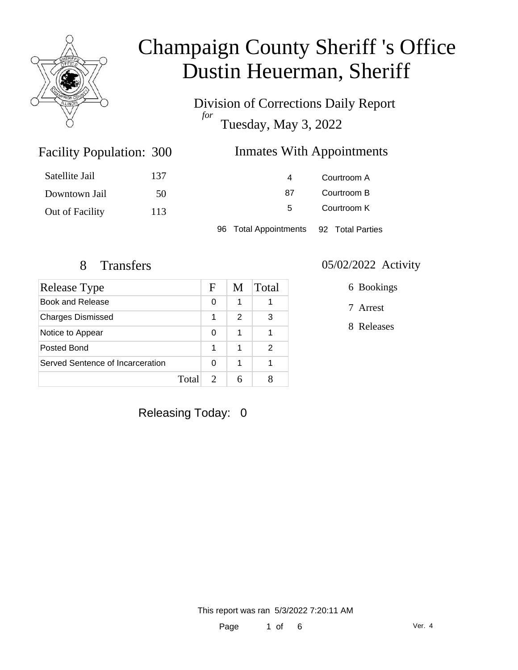

Division of Corrections Daily Report *for* Tuesday, May 3, 2022

### Inmates With Appointments

| Satellite Jail  | 137 | 4                               | Courtroom A      |
|-----------------|-----|---------------------------------|------------------|
| Downtown Jail   | 50  | 87                              | Courtroom B      |
| Out of Facility | 113 | 5                               | Courtroom K      |
|                 |     | <b>Total Appointments</b><br>96 | 92 Total Parties |

Facility Population: 300

| Release Type                     |       | F | M | Total |
|----------------------------------|-------|---|---|-------|
| <b>Book and Release</b>          |       | 0 |   |       |
| <b>Charges Dismissed</b>         |       | 1 | 2 | 3     |
| Notice to Appear                 |       | 0 | 1 |       |
| Posted Bond                      |       | 1 | 1 | 2     |
| Served Sentence of Incarceration |       | O | 1 |       |
|                                  | Total |   |   |       |

#### 8 Transfers 05/02/2022 Activity

6 Bookings

7 Arrest

8 Releases

Releasing Today: 0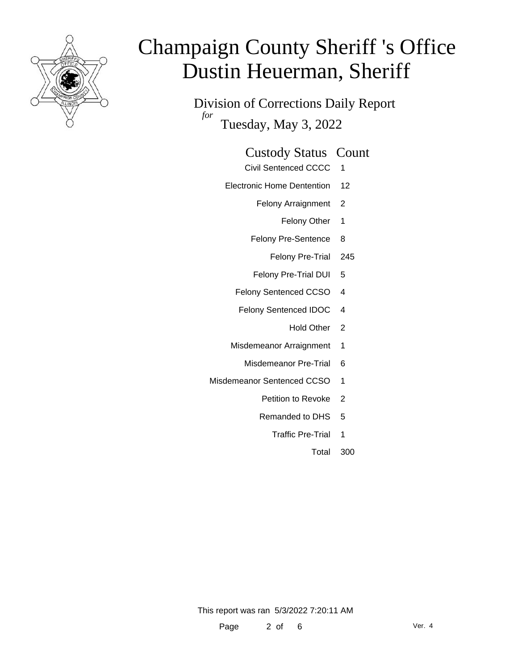

Division of Corrections Daily Report *for* Tuesday, May 3, 2022

#### Custody Status Count

- Civil Sentenced CCCC 1
- Electronic Home Dentention 12
	- Felony Arraignment 2
		- Felony Other 1
	- Felony Pre-Sentence 8
		- Felony Pre-Trial 245
	- Felony Pre-Trial DUI 5
	- Felony Sentenced CCSO 4
	- Felony Sentenced IDOC 4
		- Hold Other 2
	- Misdemeanor Arraignment 1
		- Misdemeanor Pre-Trial 6
- Misdemeanor Sentenced CCSO 1
	- Petition to Revoke 2
	- Remanded to DHS 5
		- Traffic Pre-Trial 1
			- Total 300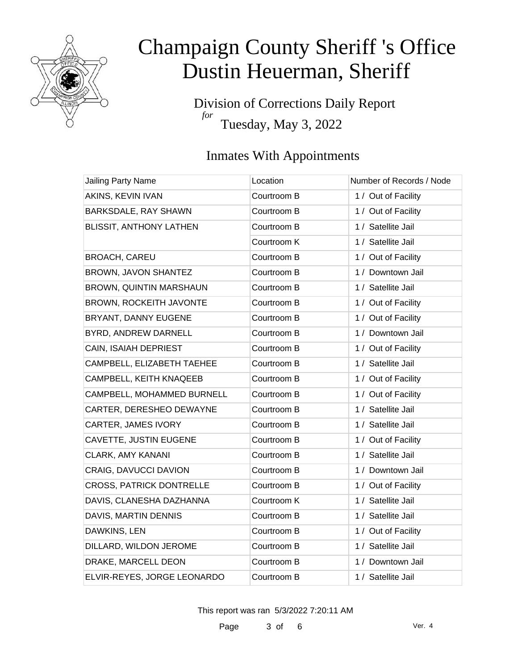

Division of Corrections Daily Report *for* Tuesday, May 3, 2022

### Inmates With Appointments

| <b>Jailing Party Name</b>       | Location    | Number of Records / Node |
|---------------------------------|-------------|--------------------------|
| AKINS, KEVIN IVAN               | Courtroom B | 1 / Out of Facility      |
| BARKSDALE, RAY SHAWN            | Courtroom B | 1 / Out of Facility      |
| BLISSIT, ANTHONY LATHEN         | Courtroom B | 1 / Satellite Jail       |
|                                 | Courtroom K | 1 / Satellite Jail       |
| <b>BROACH, CAREU</b>            | Courtroom B | 1 / Out of Facility      |
| BROWN, JAVON SHANTEZ            | Courtroom B | 1 / Downtown Jail        |
| BROWN, QUINTIN MARSHAUN         | Courtroom B | 1 / Satellite Jail       |
| BROWN, ROCKEITH JAVONTE         | Courtroom B | 1 / Out of Facility      |
| BRYANT, DANNY EUGENE            | Courtroom B | 1 / Out of Facility      |
| BYRD, ANDREW DARNELL            | Courtroom B | 1 / Downtown Jail        |
| CAIN, ISAIAH DEPRIEST           | Courtroom B | 1 / Out of Facility      |
| CAMPBELL, ELIZABETH TAEHEE      | Courtroom B | 1 / Satellite Jail       |
| CAMPBELL, KEITH KNAQEEB         | Courtroom B | 1 / Out of Facility      |
| CAMPBELL, MOHAMMED BURNELL      | Courtroom B | 1 / Out of Facility      |
| CARTER, DERESHEO DEWAYNE        | Courtroom B | 1 / Satellite Jail       |
| CARTER, JAMES IVORY             | Courtroom B | 1 / Satellite Jail       |
| CAVETTE, JUSTIN EUGENE          | Courtroom B | 1 / Out of Facility      |
| <b>CLARK, AMY KANANI</b>        | Courtroom B | 1 / Satellite Jail       |
| CRAIG, DAVUCCI DAVION           | Courtroom B | 1 / Downtown Jail        |
| <b>CROSS, PATRICK DONTRELLE</b> | Courtroom B | 1 / Out of Facility      |
| DAVIS, CLANESHA DAZHANNA        | Courtroom K | 1 / Satellite Jail       |
| DAVIS, MARTIN DENNIS            | Courtroom B | 1 / Satellite Jail       |
| DAWKINS, LEN                    | Courtroom B | 1 / Out of Facility      |
| DILLARD, WILDON JEROME          | Courtroom B | 1 / Satellite Jail       |
| DRAKE, MARCELL DEON             | Courtroom B | 1 / Downtown Jail        |
| ELVIR-REYES, JORGE LEONARDO     | Courtroom B | 1 / Satellite Jail       |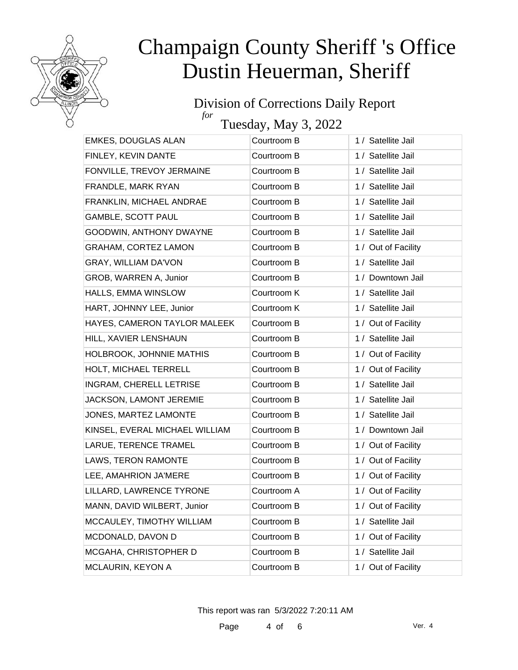

#### Division of Corrections Daily Report *for*

Tuesday, May 3, 2022

| EMKES, DOUGLAS ALAN            | Courtroom B | 1 / Satellite Jail  |
|--------------------------------|-------------|---------------------|
| FINLEY, KEVIN DANTE            | Courtroom B | 1 / Satellite Jail  |
| FONVILLE, TREVOY JERMAINE      | Courtroom B | 1 / Satellite Jail  |
| FRANDLE, MARK RYAN             | Courtroom B | 1 / Satellite Jail  |
| FRANKLIN, MICHAEL ANDRAE       | Courtroom B | 1 / Satellite Jail  |
| <b>GAMBLE, SCOTT PAUL</b>      | Courtroom B | 1 / Satellite Jail  |
| GOODWIN, ANTHONY DWAYNE        | Courtroom B | 1 / Satellite Jail  |
| <b>GRAHAM, CORTEZ LAMON</b>    | Courtroom B | 1 / Out of Facility |
| <b>GRAY, WILLIAM DA'VON</b>    | Courtroom B | 1 / Satellite Jail  |
| GROB, WARREN A, Junior         | Courtroom B | 1 / Downtown Jail   |
| HALLS, EMMA WINSLOW            | Courtroom K | 1 / Satellite Jail  |
| HART, JOHNNY LEE, Junior       | Courtroom K | 1 / Satellite Jail  |
| HAYES, CAMERON TAYLOR MALEEK   | Courtroom B | 1 / Out of Facility |
| HILL, XAVIER LENSHAUN          | Courtroom B | 1 / Satellite Jail  |
| HOLBROOK, JOHNNIE MATHIS       | Courtroom B | 1 / Out of Facility |
| HOLT, MICHAEL TERRELL          | Courtroom B | 1 / Out of Facility |
| <b>INGRAM, CHERELL LETRISE</b> | Courtroom B | 1 / Satellite Jail  |
| JACKSON, LAMONT JEREMIE        | Courtroom B | 1 / Satellite Jail  |
| JONES, MARTEZ LAMONTE          | Courtroom B | 1 / Satellite Jail  |
| KINSEL, EVERAL MICHAEL WILLIAM | Courtroom B | 1 / Downtown Jail   |
| LARUE, TERENCE TRAMEL          | Courtroom B | 1 / Out of Facility |
| LAWS, TERON RAMONTE            | Courtroom B | 1 / Out of Facility |
| LEE, AMAHRION JA'MERE          | Courtroom B | 1 / Out of Facility |
| LILLARD, LAWRENCE TYRONE       | Courtroom A | 1 / Out of Facility |
| MANN, DAVID WILBERT, Junior    | Courtroom B | 1 / Out of Facility |
| MCCAULEY, TIMOTHY WILLIAM      | Courtroom B | 1 / Satellite Jail  |
| MCDONALD, DAVON D              | Courtroom B | 1 / Out of Facility |
| MCGAHA, CHRISTOPHER D          | Courtroom B | 1 / Satellite Jail  |
| MCLAURIN, KEYON A              | Courtroom B | 1 / Out of Facility |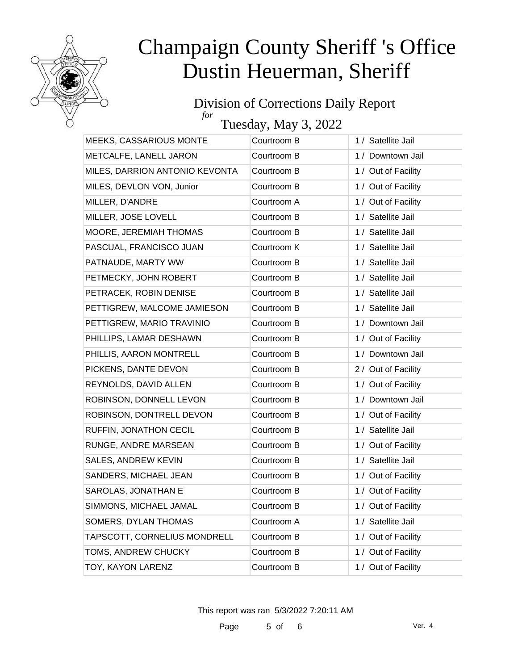

#### Division of Corrections Daily Report *for*

Tuesday, May 3, 2022

| MEEKS, CASSARIOUS MONTE        | Courtroom B | 1 / Satellite Jail  |
|--------------------------------|-------------|---------------------|
| METCALFE, LANELL JARON         | Courtroom B | 1 / Downtown Jail   |
| MILES, DARRION ANTONIO KEVONTA | Courtroom B | 1 / Out of Facility |
| MILES, DEVLON VON, Junior      | Courtroom B | 1 / Out of Facility |
| MILLER, D'ANDRE                | Courtroom A | 1 / Out of Facility |
| MILLER, JOSE LOVELL            | Courtroom B | 1 / Satellite Jail  |
| MOORE, JEREMIAH THOMAS         | Courtroom B | 1 / Satellite Jail  |
| PASCUAL, FRANCISCO JUAN        | Courtroom K | 1 / Satellite Jail  |
| PATNAUDE, MARTY WW             | Courtroom B | 1 / Satellite Jail  |
| PETMECKY, JOHN ROBERT          | Courtroom B | 1 / Satellite Jail  |
| PETRACEK, ROBIN DENISE         | Courtroom B | 1 / Satellite Jail  |
| PETTIGREW, MALCOME JAMIESON    | Courtroom B | 1 / Satellite Jail  |
| PETTIGREW, MARIO TRAVINIO      | Courtroom B | 1 / Downtown Jail   |
| PHILLIPS, LAMAR DESHAWN        | Courtroom B | 1 / Out of Facility |
| PHILLIS, AARON MONTRELL        | Courtroom B | 1 / Downtown Jail   |
| PICKENS, DANTE DEVON           | Courtroom B | 2 / Out of Facility |
| REYNOLDS, DAVID ALLEN          | Courtroom B | 1 / Out of Facility |
| ROBINSON, DONNELL LEVON        | Courtroom B | 1 / Downtown Jail   |
| ROBINSON, DONTRELL DEVON       | Courtroom B | 1 / Out of Facility |
| RUFFIN, JONATHON CECIL         | Courtroom B | 1 / Satellite Jail  |
| RUNGE, ANDRE MARSEAN           | Courtroom B | 1 / Out of Facility |
| <b>SALES, ANDREW KEVIN</b>     | Courtroom B | 1 / Satellite Jail  |
| SANDERS, MICHAEL JEAN          | Courtroom B | 1 / Out of Facility |
| SAROLAS, JONATHAN E            | Courtroom B | 1 / Out of Facility |
| SIMMONS, MICHAEL JAMAL         | Courtroom B | 1 / Out of Facility |
| SOMERS, DYLAN THOMAS           | Courtroom A | 1 / Satellite Jail  |
| TAPSCOTT, CORNELIUS MONDRELL   | Courtroom B | 1 / Out of Facility |
| TOMS, ANDREW CHUCKY            | Courtroom B | 1 / Out of Facility |
| TOY, KAYON LARENZ              | Courtroom B | 1 / Out of Facility |